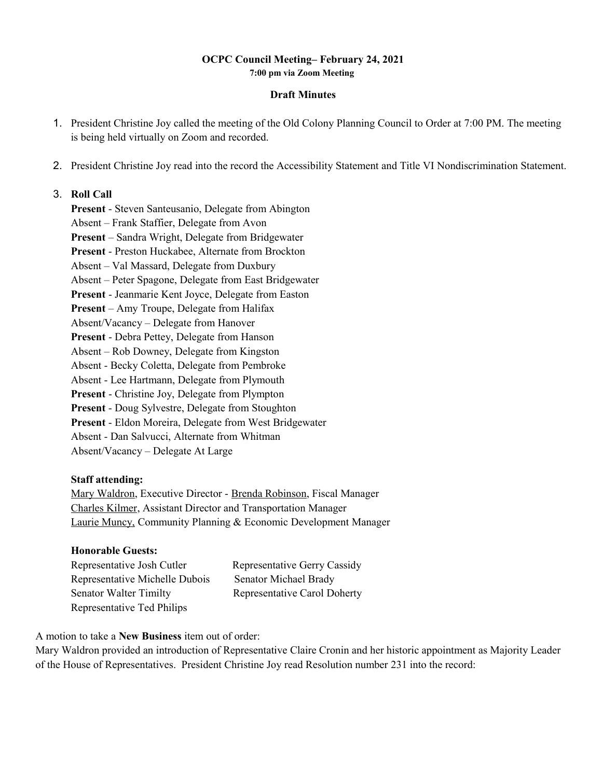#### **OCPC Council Meeting– February 24, 2021 7:00 pm via Zoom Meeting**

#### **Draft Minutes**

- 1. President Christine Joy called the meeting of the Old Colony Planning Council to Order at 7:00 PM. The meeting is being held virtually on Zoom and recorded.
- 2. President Christine Joy read into the record the Accessibility Statement and Title VI Nondiscrimination Statement.

#### 3. **Roll Call**

**Present** - Steven Santeusanio, Delegate from Abington Absent – Frank Staffier, Delegate from Avon **Present** – Sandra Wright, Delegate from Bridgewater **Present** - Preston Huckabee, Alternate from Brockton Absent – Val Massard, Delegate from Duxbury Absent – Peter Spagone, Delegate from East Bridgewater **Present** - Jeanmarie Kent Joyce, Delegate from Easton **Present** – Amy Troupe, Delegate from Halifax Absent/Vacancy – Delegate from Hanover **Present** - Debra Pettey, Delegate from Hanson Absent – Rob Downey, Delegate from Kingston Absent - Becky Coletta, Delegate from Pembroke Absent - Lee Hartmann, Delegate from Plymouth **Present** - Christine Joy, Delegate from Plympton **Present** - Doug Sylvestre, Delegate from Stoughton **Present** - Eldon Moreira, Delegate from West Bridgewater Absent - Dan Salvucci, Alternate from Whitman Absent/Vacancy – Delegate At Large

#### **Staff attending:**

Mary Waldron, Executive Director - Brenda Robinson, Fiscal Manager Charles Kilmer, Assistant Director and Transportation Manager Laurie Muncy, Community Planning & Economic Development Manager

### **Honorable Guests:**

| Representative Josh Cutler     | Representative Gerry Cassidy |
|--------------------------------|------------------------------|
| Representative Michelle Dubois | Senator Michael Brady        |
| <b>Senator Walter Timilty</b>  | Representative Carol Doherty |
| Representative Ted Philips     |                              |

A motion to take a **New Business** item out of order:

Mary Waldron provided an introduction of Representative Claire Cronin and her historic appointment as Majority Leader of the House of Representatives. President Christine Joy read Resolution number 231 into the record: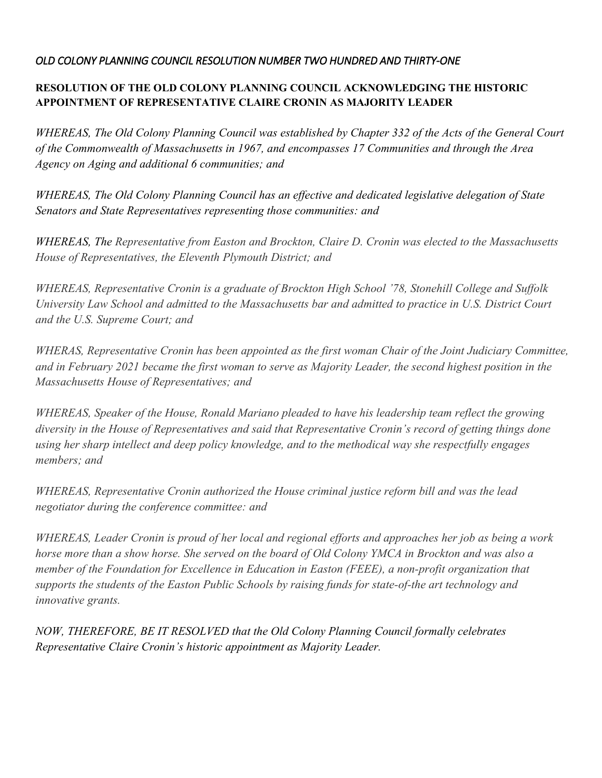## *OLD COLONY PLANNING COUNCIL RESOLUTION NUMBER TWO HUNDRED AND THIRTY-ONE*

## **RESOLUTION OF THE OLD COLONY PLANNING COUNCIL ACKNOWLEDGING THE HISTORIC APPOINTMENT OF REPRESENTATIVE CLAIRE CRONIN AS MAJORITY LEADER**

*WHEREAS, The Old Colony Planning Council was established by Chapter 332 of the Acts of the General Court of the Commonwealth of Massachusetts in 1967, and encompasses 17 Communities and through the Area Agency on Aging and additional 6 communities; and*

*WHEREAS, The Old Colony Planning Council has an effective and dedicated legislative delegation of State Senators and State Representatives representing those communities: and*

*WHEREAS, The Representative from Easton and Brockton, Claire D. Cronin was elected to the Massachusetts House of Representatives, the Eleventh Plymouth District; and*

*WHEREAS, Representative Cronin is a graduate of Brockton High School '78, Stonehill College and Suffolk University Law School and admitted to the Massachusetts bar and admitted to practice in U.S. District Court and the U.S. Supreme Court; and*

*WHERAS, Representative Cronin has been appointed as the first woman Chair of the Joint Judiciary Committee, and in February 2021 became the first woman to serve as Majority Leader, the second highest position in the Massachusetts House of Representatives; and* 

*WHEREAS, Speaker of the House, Ronald Mariano pleaded to have his leadership team reflect the growing diversity in the House of Representatives and said that Representative Cronin's record of getting things done using her sharp intellect and deep policy knowledge, and to the methodical way she respectfully engages members; and* 

*WHEREAS, Representative Cronin authorized the House criminal justice reform bill and was the lead negotiator during the conference committee: and*

*WHEREAS, Leader Cronin is proud of her local and regional efforts and approaches her job as being a work horse more than a show horse. She served on the board of Old Colony YMCA in Brockton and was also a member of the Foundation for Excellence in Education in Easton (FEEE), a non-profit organization that supports the students of the Easton Public Schools by raising funds for state-of-the art technology and innovative grants.* 

*NOW, THEREFORE, BE IT RESOLVED that the Old Colony Planning Council formally celebrates Representative Claire Cronin's historic appointment as Majority Leader.*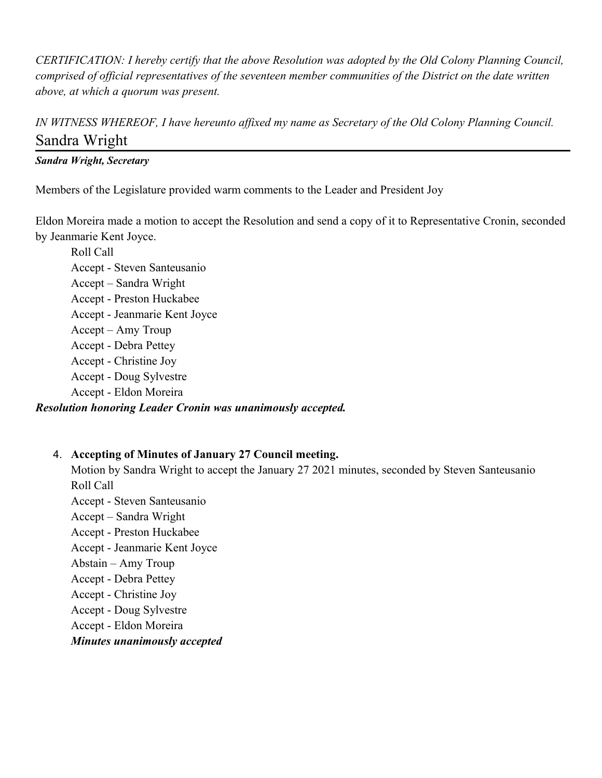*CERTIFICATION: I hereby certify that the above Resolution was adopted by the Old Colony Planning Council, comprised of official representatives of the seventeen member communities of the District on the date written above, at which a quorum was present.*

*IN WITNESS WHEREOF, I have hereunto affixed my name as Secretary of the Old Colony Planning Council.* Sandra Wright

### *Sandra Wright, Secretary*

Members of the Legislature provided warm comments to the Leader and President Joy

Eldon Moreira made a motion to accept the Resolution and send a copy of it to Representative Cronin, seconded by Jeanmarie Kent Joyce.

Roll Call Accept - Steven Santeusanio Accept – Sandra Wright Accept - Preston Huckabee Accept - Jeanmarie Kent Joyce Accept – Amy Troup Accept - Debra Pettey Accept - Christine Joy Accept - Doug Sylvestre Accept - Eldon Moreira *Resolution honoring Leader Cronin was unanimously accepted.*

### 4. **Accepting of Minutes of January 27 Council meeting.**

Motion by Sandra Wright to accept the January 27 2021 minutes, seconded by Steven Santeusanio Roll Call

Accept - Steven Santeusanio Accept – Sandra Wright Accept - Preston Huckabee Accept - Jeanmarie Kent Joyce Abstain – Amy Troup Accept - Debra Pettey Accept - Christine Joy Accept - Doug Sylvestre Accept - Eldon Moreira

### *Minutes unanimously accepted*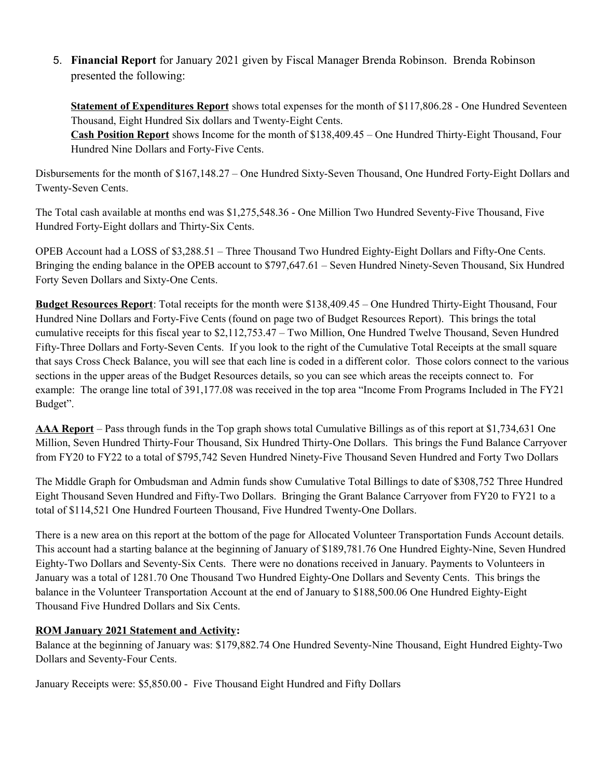5. **Financial Report** for January 2021 given by Fiscal Manager Brenda Robinson. Brenda Robinson presented the following:

**Statement of Expenditures Report** shows total expenses for the month of \$117,806.28 - One Hundred Seventeen Thousand, Eight Hundred Six dollars and Twenty-Eight Cents.

**Cash Position Report** shows Income for the month of \$138,409.45 – One Hundred Thirty-Eight Thousand, Four Hundred Nine Dollars and Forty-Five Cents.

Disbursements for the month of \$167,148.27 – One Hundred Sixty-Seven Thousand, One Hundred Forty-Eight Dollars and Twenty-Seven Cents.

The Total cash available at months end was \$1,275,548.36 - One Million Two Hundred Seventy-Five Thousand, Five Hundred Forty-Eight dollars and Thirty-Six Cents.

OPEB Account had a LOSS of \$3,288.51 – Three Thousand Two Hundred Eighty-Eight Dollars and Fifty-One Cents. Bringing the ending balance in the OPEB account to \$797,647.61 – Seven Hundred Ninety-Seven Thousand, Six Hundred Forty Seven Dollars and Sixty-One Cents.

**Budget Resources Report**: Total receipts for the month were \$138,409.45 – One Hundred Thirty-Eight Thousand, Four Hundred Nine Dollars and Forty-Five Cents (found on page two of Budget Resources Report). This brings the total cumulative receipts for this fiscal year to \$2,112,753.47 – Two Million, One Hundred Twelve Thousand, Seven Hundred Fifty-Three Dollars and Forty-Seven Cents. If you look to the right of the Cumulative Total Receipts at the small square that says Cross Check Balance, you will see that each line is coded in a different color. Those colors connect to the various sections in the upper areas of the Budget Resources details, so you can see which areas the receipts connect to. For example: The orange line total of 391,177.08 was received in the top area "Income From Programs Included in The FY21 Budget".

**AAA Report** – Pass through funds in the Top graph shows total Cumulative Billings as of this report at \$1,734,631 One Million, Seven Hundred Thirty-Four Thousand, Six Hundred Thirty-One Dollars. This brings the Fund Balance Carryover from FY20 to FY22 to a total of \$795,742 Seven Hundred Ninety-Five Thousand Seven Hundred and Forty Two Dollars

The Middle Graph for Ombudsman and Admin funds show Cumulative Total Billings to date of \$308,752 Three Hundred Eight Thousand Seven Hundred and Fifty-Two Dollars. Bringing the Grant Balance Carryover from FY20 to FY21 to a total of \$114,521 One Hundred Fourteen Thousand, Five Hundred Twenty-One Dollars.

There is a new area on this report at the bottom of the page for Allocated Volunteer Transportation Funds Account details. This account had a starting balance at the beginning of January of \$189,781.76 One Hundred Eighty-Nine, Seven Hundred Eighty-Two Dollars and Seventy-Six Cents. There were no donations received in January. Payments to Volunteers in January was a total of 1281.70 One Thousand Two Hundred Eighty-One Dollars and Seventy Cents. This brings the balance in the Volunteer Transportation Account at the end of January to \$188,500.06 One Hundred Eighty-Eight Thousand Five Hundred Dollars and Six Cents.

### **ROM January 2021 Statement and Activity:**

Balance at the beginning of January was: \$179,882.74 One Hundred Seventy-Nine Thousand, Eight Hundred Eighty-Two Dollars and Seventy-Four Cents.

January Receipts were: \$5,850.00 - Five Thousand Eight Hundred and Fifty Dollars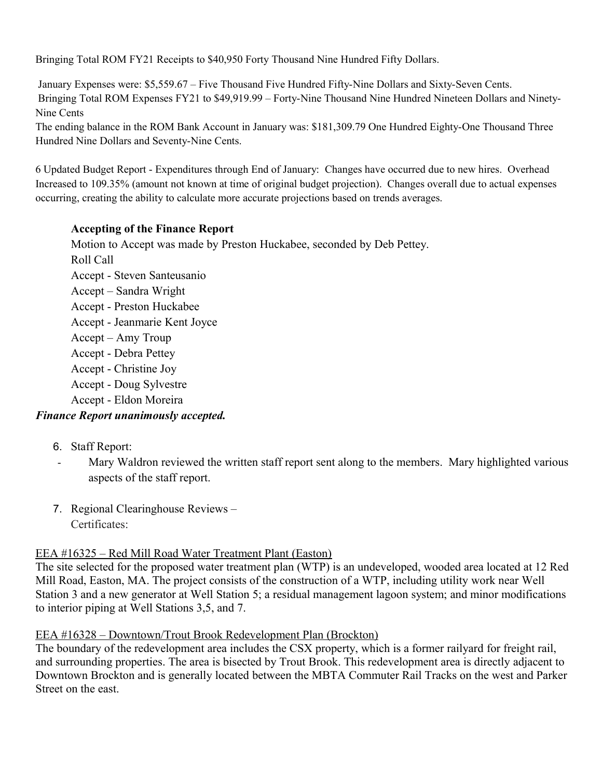Bringing Total ROM FY21 Receipts to \$40,950 Forty Thousand Nine Hundred Fifty Dollars.

 January Expenses were: \$5,559.67 – Five Thousand Five Hundred Fifty-Nine Dollars and Sixty-Seven Cents. Bringing Total ROM Expenses FY21 to \$49,919.99 – Forty-Nine Thousand Nine Hundred Nineteen Dollars and Ninety-Nine Cents

The ending balance in the ROM Bank Account in January was: \$181,309.79 One Hundred Eighty-One Thousand Three Hundred Nine Dollars and Seventy-Nine Cents.

6 Updated Budget Report - Expenditures through End of January: Changes have occurred due to new hires. Overhead Increased to 109.35% (amount not known at time of original budget projection). Changes overall due to actual expenses occurring, creating the ability to calculate more accurate projections based on trends averages.

# **Accepting of the Finance Report**

Motion to Accept was made by Preston Huckabee, seconded by Deb Pettey. Roll Call Accept - Steven Santeusanio Accept – Sandra Wright Accept - Preston Huckabee Accept - Jeanmarie Kent Joyce Accept – Amy Troup Accept - Debra Pettey Accept - Christine Joy Accept - Doug Sylvestre Accept - Eldon Moreira

# *Finance Report unanimously accepted.*

- 6. Staff Report:
- Mary Waldron reviewed the written staff report sent along to the members. Mary highlighted various aspects of the staff report.
- 7. Regional Clearinghouse Reviews Certificates:

# EEA #16325 – Red Mill Road Water Treatment Plant (Easton)

The site selected for the proposed water treatment plan (WTP) is an undeveloped, wooded area located at 12 Red Mill Road, Easton, MA. The project consists of the construction of a WTP, including utility work near Well Station 3 and a new generator at Well Station 5; a residual management lagoon system; and minor modifications to interior piping at Well Stations 3,5, and 7.

# EEA #16328 – Downtown/Trout Brook Redevelopment Plan (Brockton)

The boundary of the redevelopment area includes the CSX property, which is a former railyard for freight rail, and surrounding properties. The area is bisected by Trout Brook. This redevelopment area is directly adjacent to Downtown Brockton and is generally located between the MBTA Commuter Rail Tracks on the west and Parker Street on the east.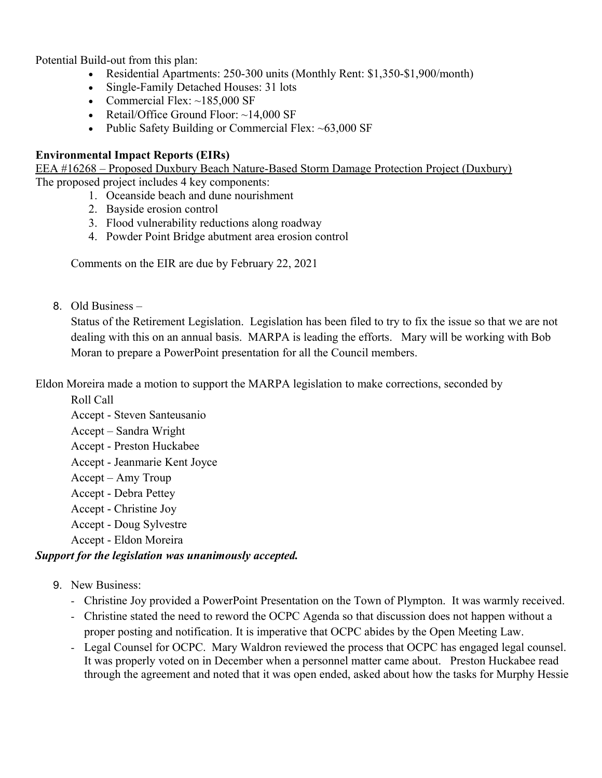Potential Build-out from this plan:

- Residential Apartments: 250-300 units (Monthly Rent: \$1,350-\$1,900/month)
- Single-Family Detached Houses: 31 lots
- Commercial Flex:  $\sim$ 185,000 SF
- Retail/Office Ground Floor:  $\sim$ 14,000 SF
- Public Safety Building or Commercial Flex:  $~63,000$  SF

### **Environmental Impact Reports (EIRs)**

EEA #16268 – Proposed Duxbury Beach Nature-Based Storm Damage Protection Project (Duxbury) The proposed project includes 4 key components:

- 1. Oceanside beach and dune nourishment
- 2. Bayside erosion control
- 3. Flood vulnerability reductions along roadway
- 4. Powder Point Bridge abutment area erosion control

Comments on the EIR are due by February 22, 2021

8. Old Business –

Status of the Retirement Legislation. Legislation has been filed to try to fix the issue so that we are not dealing with this on an annual basis. MARPA is leading the efforts. Mary will be working with Bob Moran to prepare a PowerPoint presentation for all the Council members.

Eldon Moreira made a motion to support the MARPA legislation to make corrections, seconded by

Roll Call

Accept - Steven Santeusanio Accept – Sandra Wright Accept - Preston Huckabee Accept - Jeanmarie Kent Joyce Accept – Amy Troup Accept - Debra Pettey Accept - Christine Joy Accept - Doug Sylvestre Accept - Eldon Moreira

# *Support for the legislation was unanimously accepted.*

- 9. New Business:
	- Christine Joy provided a PowerPoint Presentation on the Town of Plympton. It was warmly received.
	- Christine stated the need to reword the OCPC Agenda so that discussion does not happen without a proper posting and notification. It is imperative that OCPC abides by the Open Meeting Law.
	- Legal Counsel for OCPC. Mary Waldron reviewed the process that OCPC has engaged legal counsel. It was properly voted on in December when a personnel matter came about. Preston Huckabee read through the agreement and noted that it was open ended, asked about how the tasks for Murphy Hessie